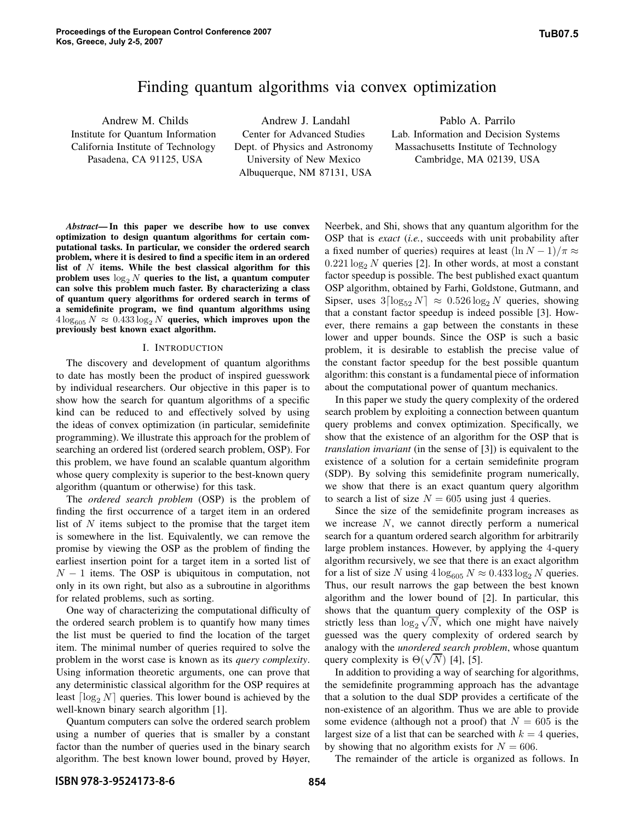# Finding quantum algorithms via convex optimization

Andrew M. Childs Institute for Quantum Information California Institute of Technology Pasadena, CA 91125, USA

Andrew J. Landahl Center for Advanced Studies Dept. of Physics and Astronomy University of New Mexico Albuquerque, NM 87131, USA

Pablo A. Parrilo Lab. Information and Decision Systems Massachusetts Institute of Technology Cambridge, MA 02139, USA

*Abstract***— In this paper we describe how to use convex optimization to design quantum algorithms for certain computational tasks. In particular, we consider the ordered search problem, where it is desired to find a specific item in an ordered list of** N **items. While the best classical algorithm for this** problem uses  $\log_2 N$  queries to the list, a quantum computer **can solve this problem much faster. By characterizing a class of quantum query algorithms for ordered search in terms of a semidefinite program, we find quantum algorithms using**  $4\log_{605} N \approx 0.433 \log_2 N$  queries, which improves upon the **previously best known exact algorithm.**

### I. INTRODUCTION

The discovery and development of quantum algorithms to date has mostly been the product of inspired guesswork by individual researchers. Our objective in this paper is to show how the search for quantum algorithms of a specific kind can be reduced to and effectively solved by using the ideas of convex optimization (in particular, semidefinite programming). We illustrate this approach for the problem of searching an ordered list (ordered search problem, OSP). For this problem, we have found an scalable quantum algorithm whose query complexity is superior to the best-known query algorithm (quantum or otherwise) for this task.

The *ordered search problem* (OSP) is the problem of finding the first occurrence of a target item in an ordered list of  $N$  items subject to the promise that the target item is somewhere in the list. Equivalently, we can remove the promise by viewing the OSP as the problem of finding the earliest insertion point for a target item in a sorted list of  $N - 1$  items. The OSP is ubiquitous in computation, not only in its own right, but also as a subroutine in algorithms for related problems, such as sorting.

One way of characterizing the computational difficulty of the ordered search problem is to quantify how many times the list must be queried to find the location of the target item. The minimal number of queries required to solve the problem in the worst case is known as its *query complexity*. Using information theoretic arguments, one can prove that any deterministic classical algorithm for the OSP requires at least  $\lceil \log_2 N \rceil$  queries. This lower bound is achieved by the well-known binary search algorithm [1].

Quantum computers can solve the ordered search problem using a number of queries that is smaller by a constant factor than the number of queries used in the binary search algorithm. The best known lower bound, proved by Høyer,

Neerbek, and Shi, shows that any quantum algorithm for the OSP that is *exact* (*i.e.*, succeeds with unit probability after a fixed number of queries) requires at least  $(\ln N - 1)/\pi \approx$  $0.221 \log_2 N$  queries [2]. In other words, at most a constant factor speedup is possible. The best published exact quantum OSP algorithm, obtained by Farhi, Goldstone, Gutmann, and Sipser, uses  $3\lceil \log_{52} N \rceil \approx 0.526 \log_2 N$  queries, showing that a constant factor speedup is indeed possible [3]. However, there remains a gap between the constants in these lower and upper bounds. Since the OSP is such a basic problem, it is desirable to establish the precise value of the constant factor speedup for the best possible quantum algorithm: this constant is a fundamental piece of information about the computational power of quantum mechanics.

In this paper we study the query complexity of the ordered search problem by exploiting a connection between quantum query problems and convex optimization. Specifically, we show that the existence of an algorithm for the OSP that is *translation invariant* (in the sense of [3]) is equivalent to the existence of a solution for a certain semidefinite program (SDP). By solving this semidefinite program numerically, we show that there is an exact quantum query algorithm to search a list of size  $N = 605$  using just 4 queries.

Since the size of the semidefinite program increases as we increase  $N$ , we cannot directly perform a numerical search for a quantum ordered search algorithm for arbitrarily large problem instances. However, by applying the 4-query algorithm recursively, we see that there is an exact algorithm for a list of size N using  $4\log_{605} N \approx 0.433 \log_2 N$  queries. Thus, our result narrows the gap between the best known algorithm and the lower bound of [2]. In particular, this shows that the quantum query complexity of the OSP is strictly less than  $\log_2 \sqrt{N}$ , which one might have naively guessed was the query complexity of ordered search by analogy with the *unordered search problem*, whose quantum query complexity is  $\Theta(\sqrt{N})$  [4], [5].

In addition to providing a way of searching for algorithms, the semidefinite programming approach has the advantage that a solution to the dual SDP provides a certificate of the non-existence of an algorithm. Thus we are able to provide some evidence (although not a proof) that  $N = 605$  is the largest size of a list that can be searched with  $k = 4$  queries, by showing that no algorithm exists for  $N = 606$ .

The remainder of the article is organized as follows. In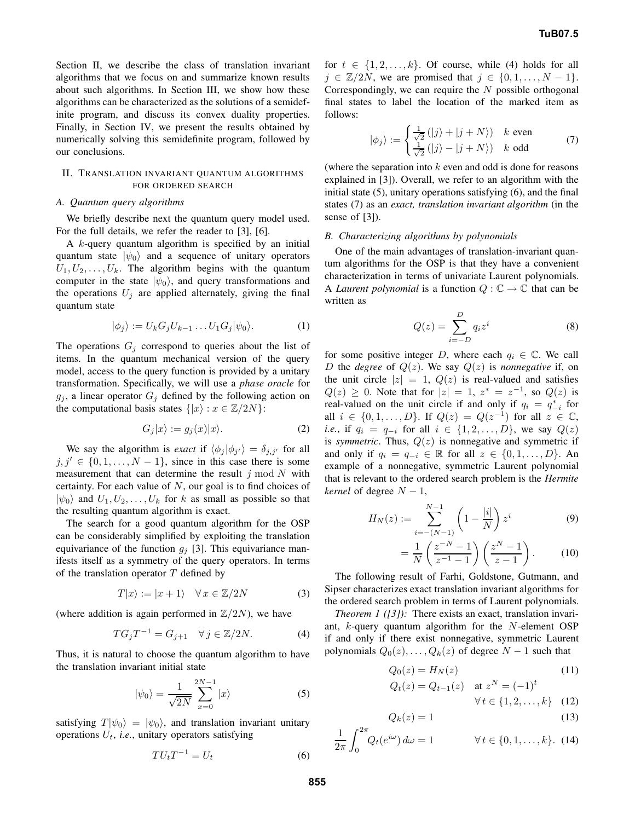Section II, we describe the class of translation invariant algorithms that we focus on and summarize known results about such algorithms. In Section III, we show how these algorithms can be characterized as the solutions of a semidefinite program, and discuss its convex duality properties. Finally, in Section IV, we present the results obtained by numerically solving this semidefinite program, followed by our conclusions.

## II. TRANSLATION INVARIANT QUANTUM ALGORITHMS FOR ORDERED SEARCH

#### *A. Quantum query algorithms*

We briefly describe next the quantum query model used. For the full details, we refer the reader to [3], [6].

A k-query quantum algorithm is specified by an initial quantum state  $|\psi_0\rangle$  and a sequence of unitary operators  $U_1, U_2, \ldots, U_k$ . The algorithm begins with the quantum computer in the state  $|\psi_0\rangle$ , and query transformations and the operations  $U_j$  are applied alternately, giving the final quantum state

$$
|\phi_j\rangle := U_k G_j U_{k-1} \dots U_1 G_j |\psi_0\rangle. \tag{1}
$$

The operations  $G_j$  correspond to queries about the list of items. In the quantum mechanical version of the query model, access to the query function is provided by a unitary transformation. Specifically, we will use a *phase oracle* for  $g_i$ , a linear operator  $G_i$  defined by the following action on the computational basis states  $\{ |x\rangle : x \in \mathbb{Z}/2N \}$ :

$$
G_j|x\rangle := g_j(x)|x\rangle. \tag{2}
$$

We say the algorithm is *exact* if  $\langle \phi_j | \phi_{j'} \rangle = \delta_{j,j'}$  for all  $j, j' \in \{0, 1, \ldots, N - 1\}$ , since in this case there is some measurement that can determine the result  $j \mod N$  with certainty. For each value of  $N$ , our goal is to find choices of  $|\psi_0\rangle$  and  $U_1, U_2, \ldots, U_k$  for k as small as possible so that the resulting quantum algorithm is exact.

The search for a good quantum algorithm for the OSP can be considerably simplified by exploiting the translation equivariance of the function  $g_i$  [3]. This equivariance manifests itself as a symmetry of the query operators. In terms of the translation operator  $T$  defined by

$$
T|x\rangle := |x+1\rangle \quad \forall \, x \in \mathbb{Z}/2N \tag{3}
$$

(where addition is again performed in  $\mathbb{Z}/2N$ ), we have

$$
TG_jT^{-1} = G_{j+1} \quad \forall j \in \mathbb{Z}/2N.
$$
 (4)

Thus, it is natural to choose the quantum algorithm to have the translation invariant initial state

$$
|\psi_0\rangle = \frac{1}{\sqrt{2N}} \sum_{x=0}^{2N-1} |x\rangle \tag{5}
$$

satisfying  $T |\psi_0\rangle = |\psi_0\rangle$ , and translation invariant unitary operations  $U_t$ , *i.e.*, unitary operators satisfying

$$
TU_tT^{-1} = U_t \tag{6}
$$

for  $t \in \{1, 2, ..., k\}$ . Of course, while (4) holds for all  $j \in \mathbb{Z}/2N$ , we are promised that  $j \in \{0, 1, \ldots, N-1\}.$ Correspondingly, we can require the  $N$  possible orthogonal final states to label the location of the marked item as follows:

$$
|\phi_j\rangle := \begin{cases} \frac{1}{\sqrt{2}} (|j\rangle + |j + N\rangle) & k \text{ even} \\ \frac{1}{\sqrt{2}} (|j\rangle - |j + N\rangle) & k \text{ odd} \end{cases}
$$
(7)

(where the separation into  $k$  even and odd is done for reasons explained in [3]). Overall, we refer to an algorithm with the initial state (5), unitary operations satisfying (6), and the final states (7) as an *exact, translation invariant algorithm* (in the sense of [3]).

#### *B. Characterizing algorithms by polynomials*

One of the main advantages of translation-invariant quantum algorithms for the OSP is that they have a convenient characterization in terms of univariate Laurent polynomials. A *Laurent polynomial* is a function  $Q : \mathbb{C} \to \mathbb{C}$  that can be written as

$$
Q(z) = \sum_{i=-D}^{D} q_i z^i
$$
 (8)

for some positive integer D, where each  $q_i \in \mathbb{C}$ . We call D the *degree* of  $Q(z)$ . We say  $Q(z)$  is *nonnegative* if, on the unit circle  $|z| = 1$ ,  $Q(z)$  is real-valued and satisfies  $Q(z) \geq 0$ . Note that for  $|z| = 1$ ,  $z^* = z^{-1}$ , so  $Q(z)$  is real-valued on the unit circle if and only if  $q_i = q_{-i}^*$  for all *i* ∈ {0, 1, ..., *D*}. If  $Q(z) = Q(z^{-1})$  for all  $z \in \mathbb{C}$ , *i.e.*, if  $q_i = q_{-i}$  for all  $i \in \{1, 2, ..., D\}$ , we say  $Q(z)$ is *symmetric*. Thus,  $Q(z)$  is nonnegative and symmetric if and only if  $q_i = q_{-i} \in \mathbb{R}$  for all  $z \in \{0, 1, \ldots, D\}$ . An example of a nonnegative, symmetric Laurent polynomial that is relevant to the ordered search problem is the *Hermite kernel* of degree  $N - 1$ ,

$$
H_N(z) := \sum_{i=-(N-1)}^{N-1} \left(1 - \frac{|i|}{N}\right) z^i \tag{9}
$$

$$
= \frac{1}{N} \left( \frac{z^{-N} - 1}{z^{-1} - 1} \right) \left( \frac{z^{N} - 1}{z - 1} \right). \tag{10}
$$

The following result of Farhi, Goldstone, Gutmann, and Sipser characterizes exact translation invariant algorithms for the ordered search problem in terms of Laurent polynomials.

*Theorem 1 ([3])*: There exists an exact, translation invariant, k-query quantum algorithm for the N-element OSP if and only if there exist nonnegative, symmetric Laurent polynomials  $Q_0(z),...,Q_k(z)$  of degree  $N-1$  such that

$$
Q_0(z) = H_N(z) \tag{11}
$$

$$
Q_t(z) = Q_{t-1}(z) \quad \text{at } z^N = (-1)^t
$$

$$
\forall t \in \{1, 2, \dots, k\} \quad (12)
$$

$$
Q_k(z) = 1\tag{13}
$$

$$
\frac{1}{2\pi} \int_0^{2\pi} Q_t(e^{i\omega}) d\omega = 1 \qquad \forall \, t \in \{0, 1, \dots, k\}. \tag{14}
$$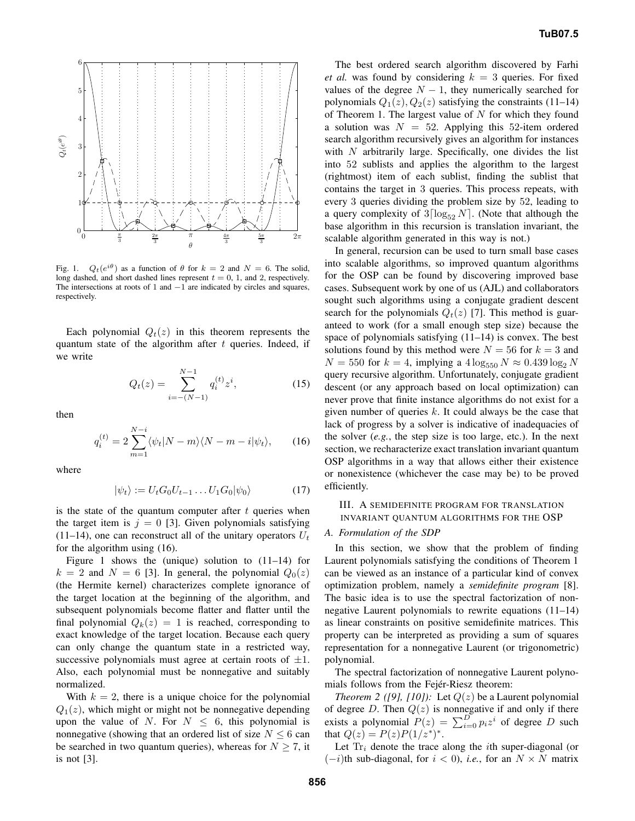

Fig. 1.  $Q_t(e^{i\theta})$  as a function of  $\theta$  for  $k = 2$  and  $N = 6$ . The solid, long dashed, and short dashed lines represent  $t = 0, 1$ , and 2, respectively. The intersections at roots of 1 and  $-1$  are indicated by circles and squares, respectively.

Each polynomial  $Q_t(z)$  in this theorem represents the quantum state of the algorithm after  $t$  queries. Indeed, if we write

$$
Q_t(z) = \sum_{i=-(N-1)}^{N-1} q_i^{(t)} z^i,
$$
 (15)

then

$$
q_i^{(t)} = 2\sum_{m=1}^{N-i} \langle \psi_t | N-m \rangle \langle N-m-i | \psi_t \rangle, \qquad (16)
$$

where

$$
|\psi_t\rangle := U_t G_0 U_{t-1} \dots U_1 G_0 |\psi_0\rangle \tag{17}
$$

is the state of the quantum computer after  $t$  queries when the target item is  $j = 0$  [3]. Given polynomials satisfying (11–14), one can reconstruct all of the unitary operators  $U_t$ for the algorithm using (16).

Figure 1 shows the (unique) solution to (11–14) for  $k = 2$  and  $N = 6$  [3]. In general, the polynomial  $Q_0(z)$ (the Hermite kernel) characterizes complete ignorance of the target location at the beginning of the algorithm, and subsequent polynomials become flatter and flatter until the final polynomial  $Q_k(z)=1$  is reached, corresponding to exact knowledge of the target location. Because each query can only change the quantum state in a restricted way, successive polynomials must agree at certain roots of  $\pm 1$ . Also, each polynomial must be nonnegative and suitably normalized.

With  $k = 2$ , there is a unique choice for the polynomial  $Q_1(z)$ , which might or might not be nonnegative depending upon the value of N. For  $N \leq 6$ , this polynomial is nonnegative (showing that an ordered list of size  $N \leq 6$  can be searched in two quantum queries), whereas for  $N \geq 7$ , it is not [3].

The best ordered search algorithm discovered by Farhi *et al.* was found by considering  $k = 3$  queries. For fixed values of the degree  $N - 1$ , they numerically searched for polynomials  $Q_1(z)$ ,  $Q_2(z)$  satisfying the constraints (11–14) of Theorem 1. The largest value of  $N$  for which they found a solution was  $N = 52$ . Applying this 52-item ordered search algorithm recursively gives an algorithm for instances with  $N$  arbitrarily large. Specifically, one divides the list into 52 sublists and applies the algorithm to the largest (rightmost) item of each sublist, finding the sublist that contains the target in 3 queries. This process repeats, with every 3 queries dividing the problem size by 52, leading to a query complexity of  $3\lceil \log_{52} N \rceil$ . (Note that although the base algorithm in this recursion is translation invariant, the scalable algorithm generated in this way is not.)

In general, recursion can be used to turn small base cases into scalable algorithms, so improved quantum algorithms for the OSP can be found by discovering improved base cases. Subsequent work by one of us (AJL) and collaborators sought such algorithms using a conjugate gradient descent search for the polynomials  $Q_t(z)$  [7]. This method is guaranteed to work (for a small enough step size) because the space of polynomials satisfying (11–14) is convex. The best solutions found by this method were  $N = 56$  for  $k = 3$  and  $N = 550$  for  $k = 4$ , implying a  $4 \log_{550} N \approx 0.439 \log_2 N$ query recursive algorithm. Unfortunately, conjugate gradient descent (or any approach based on local optimization) can never prove that finite instance algorithms do not exist for a given number of queries  $k$ . It could always be the case that lack of progress by a solver is indicative of inadequacies of the solver (*e.g.*, the step size is too large, etc.). In the next section, we recharacterize exact translation invariant quantum OSP algorithms in a way that allows either their existence or nonexistence (whichever the case may be) to be proved efficiently.

## III. A SEMIDEFINITE PROGRAM FOR TRANSLATION INVARIANT QUANTUM ALGORITHMS FOR THE OSP

#### *A. Formulation of the SDP*

In this section, we show that the problem of finding Laurent polynomials satisfying the conditions of Theorem 1 can be viewed as an instance of a particular kind of convex optimization problem, namely a *semidefinite program* [8]. The basic idea is to use the spectral factorization of nonnegative Laurent polynomials to rewrite equations (11–14) as linear constraints on positive semidefinite matrices. This property can be interpreted as providing a sum of squares representation for a nonnegative Laurent (or trigonometric) polynomial.

The spectral factorization of nonnegative Laurent polynomials follows from the Fejér-Riesz theorem:

*Theorem 2 ([9], [10]):* Let  $Q(z)$  be a Laurent polynomial of degree D. Then  $Q(z)$  is nonnegative if and only if there exists a polynomial  $P(z) = \sum_{i=0}^{D} p_i z^i$  of degree D such that  $Q(z) = P(z)P(1/z^*)^*$ .

Let  $Tr_i$  denote the trace along the *i*th super-diagonal (or  $(-i)$ th sub-diagonal, for  $i < 0$ ), *i.e.*, for an  $N \times N$  matrix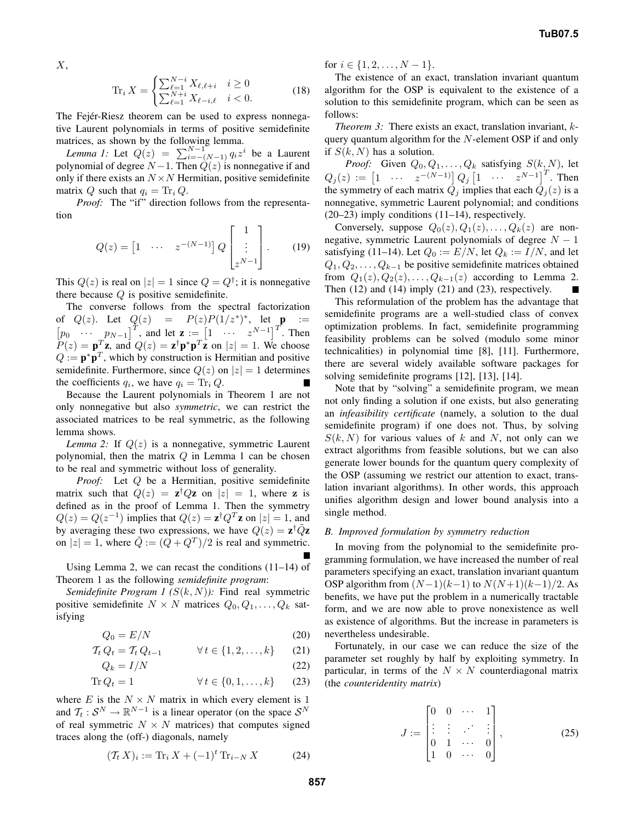$X$ ,

$$
\operatorname{Tr}_{i} X = \begin{cases} \sum_{\ell=1}^{N-i} X_{\ell, \ell+i} & i \ge 0\\ \sum_{\ell=1}^{N+i} X_{\ell-i, \ell} & i < 0. \end{cases} \tag{18}
$$

The Fejér-Riesz theorem can be used to express nonnegative Laurent polynomials in terms of positive semidefinite matrices, as shown by the following lemma.

*Lemma 1:* Let  $Q(z) = \sum_{i=-\lfloor (N-1) \rfloor}^{N-1} q_i z^i$  be a Laurent polynomial of degree  $N-1$ . Then  $\hat{Q}(z)$  is nonnegative if and only if there exists an  $N \times N$  Hermitian, positive semidefinite matrix Q such that  $q_i = \text{Tr}_i Q$ .

*Proof:* The "if" direction follows from the representation

$$
Q(z) = \begin{bmatrix} 1 & \cdots & z^{-(N-1)} \end{bmatrix} Q \begin{bmatrix} 1 \\ \vdots \\ z^{N-1} \end{bmatrix} . \qquad (19)
$$

This  $Q(z)$  is real on  $|z|=1$  since  $Q=Q^{\dagger}$ ; it is nonnegative there because  $Q$  is positive semidefinite.

The converse follows from the spectral factorization of  $Q(z)$ . Let  $Q(z) = P(z)P(1/z^*)^*$ , let  $p :=$  $[p_0 \cdots p_{N-1}]^T$ , and let  $\mathbf{z} := \begin{bmatrix} 1 & \cdots & z^{N-1} \end{bmatrix}^T$ . Then  $P(z) = \mathbf{p}_z^T \mathbf{z}$ , and  $Q(z) = \mathbf{z}^\dagger \mathbf{p}^* \mathbf{p}^T \mathbf{z}$  on  $|z| = 1$ . We choose  $Q := \mathbf{p}^* \mathbf{p}^T$ , which by construction is Hermitian and positive semidefinite. Furthermore, since  $Q(z)$  on  $|z|=1$  determines the coefficients  $q_i$ , we have  $q_i = \text{Tr}_i Q$ .

Because the Laurent polynomials in Theorem 1 are not only nonnegative but also *symmetric*, we can restrict the associated matrices to be real symmetric, as the following lemma shows.

*Lemma 2:* If  $Q(z)$  is a nonnegative, symmetric Laurent polynomial, then the matrix  $Q$  in Lemma 1 can be chosen to be real and symmetric without loss of generality.

*Proof:* Let Q be a Hermitian, positive semidefinite matrix such that  $Q(z) = z^{\dagger}Qz$  on  $|z| = 1$ , where z is defined as in the proof of Lemma 1. Then the symmetry  $Q(z) = Q(z^{-1})$  implies that  $Q(z) = \mathbf{z}^{\dagger} Q^T \mathbf{z}$  on  $|z| = 1$ , and by averaging these two expressions, we have  $Q(z) = \mathbf{z}^\dagger \tilde{Q} \mathbf{z}$ on  $|z| = 1$ , where  $\tilde{Q} := (Q + Q^T)/2$  is real and symmetric.

Using Lemma 2, we can recast the conditions  $(11-14)$  of Theorem 1 as the following *semidefinite program*:

*Semidefinite Program 1 (*S(k, N)*):* Find real symmetric positive semidefinite  $N \times N$  matrices  $Q_0, Q_1, \ldots, Q_k$  satisfying

 $Q_0 = E/N$  (20)

$$
\mathcal{T}_t Q_t = \mathcal{T}_t Q_{t-1} \qquad \forall t \in \{1, 2, \dots, k\} \qquad (21)
$$

$$
Q_k = I/N \tag{22}
$$

$$
\text{Tr}\,Q_t = 1 \qquad \qquad \forall \, t \in \{0, 1, \dots, k\} \qquad (23)
$$

where E is the  $N \times N$  matrix in which every element is 1 and  $\mathcal{T}_t : \mathcal{S}^N \to \mathbb{R}^{N-1}$  is a linear operator (on the space  $\mathcal{S}^N$ of real symmetric  $N \times N$  matrices) that computes signed traces along the (off-) diagonals, namely

$$
(\mathcal{T}_t X)_i := \text{Tr}_i X + (-1)^t \text{Tr}_{i-N} X \tag{24}
$$

for  $i \in \{1, 2, \ldots, N-1\}.$ 

The existence of an exact, translation invariant quantum algorithm for the OSP is equivalent to the existence of a solution to this semidefinite program, which can be seen as follows:

*Theorem 3:* There exists an exact, translation invariant, kquery quantum algorithm for the N-element OSP if and only if  $S(k, N)$  has a solution.

*Proof:* Given  $Q_0, Q_1, \ldots, Q_k$  satisfying  $S(k, N)$ , let  $Q_j(z) := \begin{bmatrix} 1 & \cdots & z^{-(N-1)} \end{bmatrix} Q_j \begin{bmatrix} 1 & \cdots & z^{N-1} \end{bmatrix}^T$ . Then the symmetry of each matrix  $\overrightarrow{Q}_i$  implies that each  $\overrightarrow{Q}_i(z)$  is a nonnegative, symmetric Laurent polynomial; and conditions (20–23) imply conditions (11–14), respectively.

Conversely, suppose  $Q_0(z), Q_1(z), \ldots, Q_k(z)$  are nonnegative, symmetric Laurent polynomials of degree  $N - 1$ satisfying (11–14). Let  $Q_0 := E/N$ , let  $Q_k := I/N$ , and let  $Q_1, Q_2, \ldots, Q_{k-1}$  be positive semidefinite matrices obtained from  $Q_1(z)$ ,  $Q_2(z)$ ,...,  $Q_{k-1}(z)$  according to Lemma 2. Then  $(12)$  and  $(14)$  imply  $(21)$  and  $(23)$ , respectively.

This reformulation of the problem has the advantage that semidefinite programs are a well-studied class of convex optimization problems. In fact, semidefinite programming feasibility problems can be solved (modulo some minor technicalities) in polynomial time [8], [11]. Furthermore, there are several widely available software packages for solving semidefinite programs [12], [13], [14].

Note that by "solving" a semidefinite program, we mean not only finding a solution if one exists, but also generating an *infeasibility certificate* (namely, a solution to the dual semidefinite program) if one does not. Thus, by solving  $S(k, N)$  for various values of k and N, not only can we extract algorithms from feasible solutions, but we can also generate lower bounds for the quantum query complexity of the OSP (assuming we restrict our attention to exact, translation invariant algorithms). In other words, this approach unifies algorithm design and lower bound analysis into a single method.

## *B. Improved formulation by symmetry reduction*

In moving from the polynomial to the semidefinite programming formulation, we have increased the number of real parameters specifying an exact, translation invariant quantum OSP algorithm from  $(N-1)(k-1)$  to  $N(N+1)(k-1)/2$ . As benefits, we have put the problem in a numerically tractable form, and we are now able to prove nonexistence as well as existence of algorithms. But the increase in parameters is nevertheless undesirable.

Fortunately, in our case we can reduce the size of the parameter set roughly by half by exploiting symmetry. In particular, in terms of the  $N \times N$  counterdiagonal matrix (the *counteridentity matrix*)

$$
J := \begin{bmatrix} 0 & 0 & \cdots & 1 \\ \vdots & \vdots & \ddots & \vdots \\ 0 & 1 & \cdots & 0 \\ 1 & 0 & \cdots & 0 \end{bmatrix},
$$
 (25)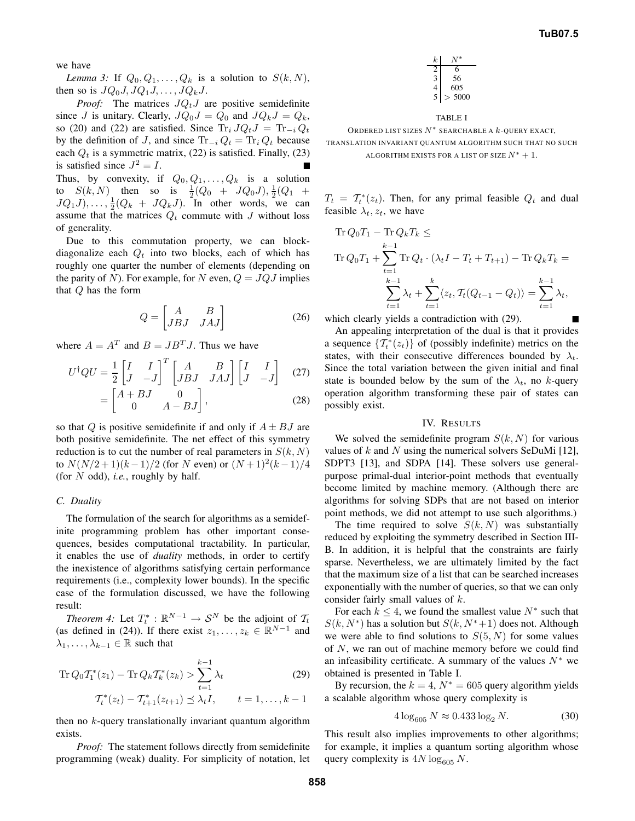we have

*Lemma 3:* If  $Q_0, Q_1, \ldots, Q_k$  is a solution to  $S(k, N)$ , then so is  $JQ_0J, JQ_1J, \ldots, JQ_kJ$ .

*Proof:* The matrices  $JQ_tJ$  are positive semidefinite since J is unitary. Clearly,  $JQ_0J = Q_0$  and  $JQ_kJ = Q_k$ , so (20) and (22) are satisfied. Since  $\text{Tr}_i J Q_t J = \text{Tr}_{-i} Q_t$ by the definition of J, and since  $\text{Tr}_{-i} Q_t = \text{Tr}_i Q_t$  because each  $Q_t$  is a symmetric matrix, (22) is satisfied. Finally, (23) is satisfied since  $J^2 = I$ . Thus, by convexity, if  $Q_0, Q_1, \ldots, Q_k$  is a solution to  $S(k, N)$  then so is  $\frac{1}{2}(Q_0 + JQ_0J), \frac{1}{2}(Q_1 +$  $JQ_1J)$ ,...,  $\frac{1}{2}(Q_k + JQ_kJ)$ . In other words, we can assume that the matrices  $Q_t$  commute with J without loss of generality.

Due to this commutation property, we can blockdiagonalize each  $Q_t$  into two blocks, each of which has roughly one quarter the number of elements (depending on the parity of N). For example, for N even,  $Q = JQJ$  implies that Q has the form

$$
Q = \begin{bmatrix} A & B \\ JBJ & JAJ \end{bmatrix}
$$
 (26)

where  $A = A^T$  and  $B = J B^T J$ . Thus we have

$$
U^{\dagger}QU = \frac{1}{2} \begin{bmatrix} I & I \\ J & -J \end{bmatrix}^T \begin{bmatrix} A & B \\ JBJ & JAJ \end{bmatrix} \begin{bmatrix} I & I \\ J & -J \end{bmatrix}
$$
 (27)  

$$
\begin{bmatrix} A + BJ & 0 & \end{bmatrix}
$$
 (29)

$$
= \begin{bmatrix} A+BJ & 0 \\ 0 & A-BJ \end{bmatrix}, \tag{28}
$$

so that Q is positive semidefinite if and only if  $A \pm BJ$  are both positive semidefinite. The net effect of this symmetry reduction is to cut the number of real parameters in  $S(k, N)$ to  $N(N/2+1)(k-1)/2$  (for N even) or  $(N+1)^2(k-1)/4$ (for N odd), *i.e.*, roughly by half.

## *C. Duality*

The formulation of the search for algorithms as a semidefinite programming problem has other important consequences, besides computational tractability. In particular, it enables the use of *duality* methods, in order to certify the inexistence of algorithms satisfying certain performance requirements (i.e., complexity lower bounds). In the specific case of the formulation discussed, we have the following result:

*Theorem 4:* Let  $T_t^* : \mathbb{R}^{N-1} \to S^N$  be the adjoint of  $T_t$ (as defined in (24)). If there exist  $z_1, \ldots, z_k \in \mathbb{R}^{N-1}$  and  $\lambda_1, \ldots, \lambda_{k-1} \in \mathbb{R}$  such that

Tr 
$$
Q_0 T_1^*(z_1) - \text{Tr } Q_k T_k^*(z_k) > \sum_{t=1}^{k-1} \lambda_t
$$
 (29)

$$
\mathcal{T}_{t}^{*}(z_{t}) - \mathcal{T}_{t+1}^{*}(z_{t+1}) \leq \lambda_{t} I, \qquad t = 1, \ldots, k-1
$$

then no  $k$ -query translationally invariant quantum algorithm exists.

*Proof:* The statement follows directly from semidefinite programming (weak) duality. For simplicity of notation, let

| $\boldsymbol{k}$ |      |
|------------------|------|
|                  |      |
|                  | 56   |
|                  | 605  |
| 5                | 5000 |

#### TABLE I

ORDERED LIST SIZES  $N^*$  SEARCHABLE A  $k$ -QUERY EXACT, TRANSLATION INVARIANT QUANTUM ALGORITHM SUCH THAT NO SUCH

```
ALGORITHM EXISTS FOR A LIST OF SIZE N^*+1.
```
 $T_t = T_t^*(z_t)$ . Then, for any primal feasible  $Q_t$  and dual feasible  $\lambda_t$ ,  $z_t$ , we have

Tr 
$$
Q_0 T_1 - \text{Tr } Q_k T_k \le
$$
  
\nTr  $Q_0 T_1 + \sum_{t=1}^{k-1} \text{Tr } Q_t \cdot (\lambda_t I - T_t + T_{t+1}) - \text{Tr } Q_k T_k =$   
\n
$$
\sum_{t=1}^{k-1} \lambda_t + \sum_{t=1}^k \langle z_t, T_t (Q_{t-1} - Q_t) \rangle = \sum_{t=1}^{k-1} \lambda_t,
$$

which clearly yields a contradiction with (29).

An appealing interpretation of the dual is that it provides a sequence  $\{T_t^*(z_t)\}\$  of (possibly indefinite) metrics on the states, with their consecutive differences bounded by  $\lambda_t$ . Since the total variation between the given initial and final state is bounded below by the sum of the  $\lambda_t$ , no k-query operation algorithm transforming these pair of states can possibly exist.

#### IV. RESULTS

We solved the semidefinite program  $S(k, N)$  for various values of  $k$  and  $N$  using the numerical solvers SeDuMi [12], SDPT3 [13], and SDPA [14]. These solvers use generalpurpose primal-dual interior-point methods that eventually become limited by machine memory. (Although there are algorithms for solving SDPs that are not based on interior point methods, we did not attempt to use such algorithms.)

The time required to solve  $S(k, N)$  was substantially reduced by exploiting the symmetry described in Section III-B. In addition, it is helpful that the constraints are fairly sparse. Nevertheless, we are ultimately limited by the fact that the maximum size of a list that can be searched increases exponentially with the number of queries, so that we can only consider fairly small values of k.

For each  $k \leq 4$ , we found the smallest value  $N^*$  such that  $S(k, N^*)$  has a solution but  $S(k, N^*+1)$  does not. Although we were able to find solutions to  $S(5, N)$  for some values of N, we ran out of machine memory before we could find an infeasibility certificate. A summary of the values  $N^*$  we obtained is presented in Table I.

By recursion, the  $k = 4$ ,  $N^* = 605$  query algorithm yields a scalable algorithm whose query complexity is

$$
4\log_{605} N \approx 0.433 \log_2 N. \tag{30}
$$

This result also implies improvements to other algorithms; for example, it implies a quantum sorting algorithm whose query complexity is  $4N \log_{605} N$ .